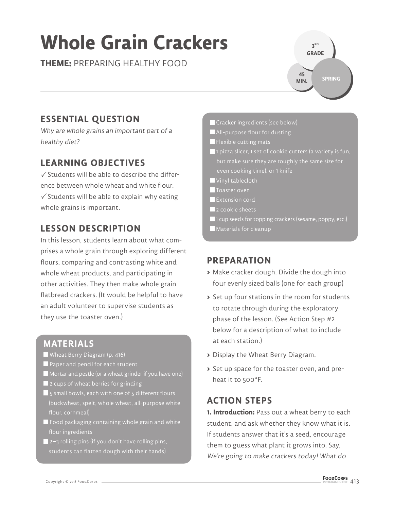# **Whole Grain Crackers**

**THEME:** PREPARING HEALTHY FOOD

**3 RD GRADE SPRING 45 MIN.**

# **ESSENTIAL QUESTION**

Why are whole grains an important part of a healthy diet?

# **LEARNING OBJECTIVES**

 $\checkmark$  Students will be able to describe the difference between whole wheat and white flour.  $\checkmark$  Students will be able to explain why eating whole grains is important.

# **LESSON DESCRIPTION**

In this lesson, students learn about what comprises a whole grain through exploring different flours, comparing and contrasting white and whole wheat products, and participating in other activities. They then make whole grain flatbread crackers. (It would be helpful to have an adult volunteer to supervise students as they use the toaster oven.)

### **MATERIALS**

- Wheat Berry Diagram (p. 416)
- Paper and pencil for each student
- Mortar and pestle (or a wheat grinder if you have one)
- 2 cups of wheat berries for grinding
- **5** small bowls, each with one of 5 different flours (buckwheat, spelt, whole wheat, all-purpose white flour, cornmeal)
- $\blacksquare$  Food packaging containing whole grain and white flour ingredients
- 2–3 rolling pins (if you don't have rolling pins, students can flatten dough with their hands)

Cracker ingredients (see below)

- All-purpose flour for dusting
- **Flexible cutting mats**
- $\blacksquare$  1 pizza slicer, 1 set of cookie cutters (a variety is fun, but make sure they are roughly the same size for even cooking time), or 1 knife
- Vinyl tablecloth
- **T**oaster oven
- **Extension cord**
- 2 cookie sheets
- **1** cup seeds for topping crackers (sesame, poppy, etc.)
- **Materials for cleanup**

### **PREPARATION**

- **>** Make cracker dough. Divide the dough into four evenly sized balls (one for each group)
- **>** Set up four stations in the room for students to rotate through during the exploratory phase of the lesson. (See Action Step #2 below for a description of what to include at each station.)
- **>** Display the Wheat Berry Diagram.
- **>** Set up space for the toaster oven, and preheat it to 500°F.

### **ACTION STEPS**

**1. Introduction:** Pass out a wheat berry to each student, and ask whether they know what it is. If students answer that it's a seed, encourage them to guess what plant it grows into. Say, We're going to make crackers today! What do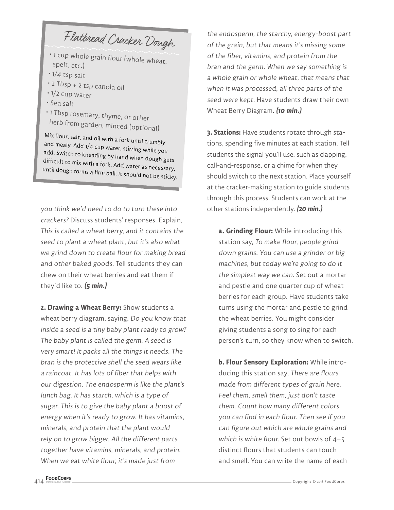Flatbread Cracker Dough

- 1 cup whole grain flour (whole wheat, spelt, etc.)
- 1/4 tsp salt
- 2 Tbsp + 2 tsp canola oil
- 1/2 cup water
- Sea salt
- 1 Tbsp rosemary, thyme, or other

 herb from garden, minced (optional) and mealy. Add 1/4 cup water, stirring while you<br>add. Switch to kneading by hand when dough gets<br>difficult to mix with a fork. Add water as necessary,<br>until dough forms a firm ball. It should not be sticky.

you think we'd need to do to turn these into crackers? Discuss students' responses. Explain, This is called a wheat berry, and it contains the seed to plant a wheat plant, but it's also what we grind down to create flour for making bread and other baked goods. Tell students they can chew on their wheat berries and eat them if they'd like to. **(5 min.)**

**2. Drawing a Wheat Berry:** Show students a wheat berry diagram, saying, Do you know that inside a seed is a tiny baby plant ready to grow? The baby plant is called the germ. A seed is very smart! It packs all the things it needs. The bran is the protective shell the seed wears like a raincoat. It has lots of fiber that helps with our digestion. The endosperm is like the plant's lunch bag. It has starch, which is a type of sugar. This is to give the baby plant a boost of energy when it's ready to grow. It has vitamins, minerals, and protein that the plant would rely on to grow bigger. All the different parts together have vitamins, minerals, and protein. When we eat white flour, it's made just from

the endosperm, the starchy, energy-boost part of the grain, but that means it's missing some of the fiber, vitamins, and protein from the bran and the germ. When we say something is a whole grain or whole wheat, that means that when it was processed, all three parts of the seed were kept. Have students draw their own Wheat Berry Diagram. **(10 min.)**

**3. Stations:** Have students rotate through stations, spending five minutes at each station. Tell students the signal you'll use, such as clapping, call-and-response, or a chime for when they should switch to the next station. Place yourself at the cracker-making station to guide students through this process. Students can work at the other stations independently. **(20 min.)**

**a. Grinding Flour:** While introducing this station say, To make flour, people grind down grains. You can use a grinder or big machines, but today we're going to do it the simplest way we can. Set out a mortar and pestle and one quarter cup of wheat berries for each group. Have students take turns using the mortar and pestle to grind the wheat berries. You might consider giving students a song to sing for each person's turn, so they know when to switch.

**b. Flour Sensory Exploration:** While introducing this station say, There are flours made from different types of grain here. Feel them, smell them, just don't taste them. Count how many different colors you can find in each flour. Then see if you can figure out which are whole grains and which is white flour. Set out bowls of 4-5 distinct flours that students can touch and smell. You can write the name of each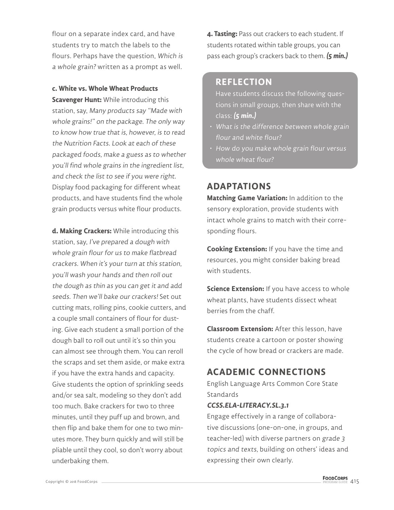flour on a separate index card, and have students try to match the labels to the flours. Perhaps have the question, Which is a whole grain? written as a prompt as well.

**c. White vs. Whole Wheat Products** 

**Scavenger Hunt:** While introducing this station, say, Many products say "Made with whole grains!" on the package. The only way to know how true that is, however, is to read the Nutrition Facts. Look at each of these packaged foods, make a guess as to whether you'll find whole grains in the ingredient list, and check the list to see if you were right. Display food packaging for different wheat products, and have students find the whole grain products versus white flour products.

**d. Making Crackers:** While introducing this station, say, I've prepared a dough with whole grain flour for us to make flatbread crackers. When it's your turn at this station, you'll wash your hands and then roll out the dough as thin as you can get it and add seeds. Then we'll bake our crackers! Set out cutting mats, rolling pins, cookie cutters, and a couple small containers of flour for dusting. Give each student a small portion of the dough ball to roll out until it's so thin you can almost see through them. You can reroll the scraps and set them aside, or make extra if you have the extra hands and capacity. Give students the option of sprinkling seeds and/or sea salt, modeling so they don't add too much. Bake crackers for two to three minutes, until they puff up and brown, and then flip and bake them for one to two minutes more. They burn quickly and will still be pliable until they cool, so don't worry about underbaking them.

**4. Tasting:** Pass out crackers to each student. If students rotated within table groups, you can pass each group's crackers back to them. **(5 min.)**

#### **REFLECTION**

Have students discuss the following questions in small groups, then share with the class: **(5 min.)**

- What is the difference between whole grain flour and white flour?
- How do you make whole grain flour versus whole wheat flour?

#### **ADAPTATIONS**

**Matching Game Variation:** In addition to the sensory exploration, provide students with intact whole grains to match with their corresponding flours.

**Cooking Extension:** If you have the time and resources, you might consider baking bread with students.

**Science Extension:** If you have access to whole wheat plants, have students dissect wheat berries from the chaff.

**Classroom Extension:** After this lesson, have students create a cartoon or poster showing the cycle of how bread or crackers are made.

# **ACADEMIC CONNECTIONS**

English Language Arts Common Core State **Standards** 

#### **CCSS.ELA-LITERACY.SL.3.1**

Engage effectively in a range of collaborative discussions (one-on-one, in groups, and teacher-led) with diverse partners on grade 3 topics and texts, building on others' ideas and expressing their own clearly.